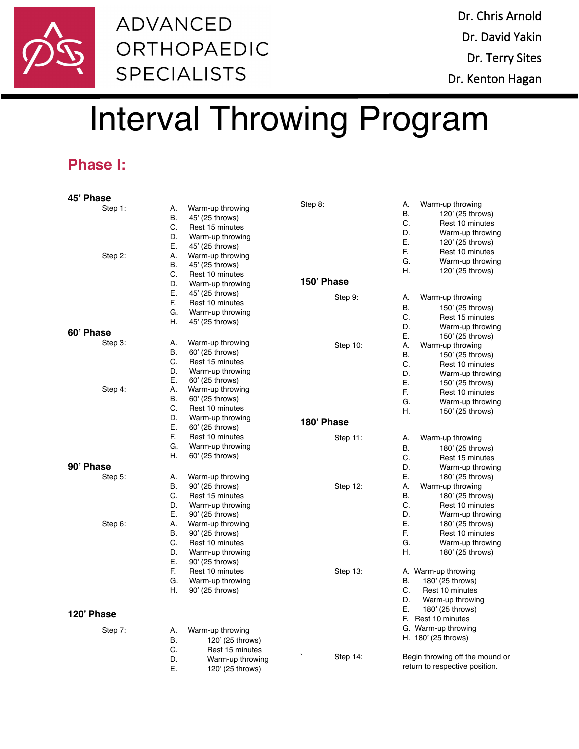

## **ADVANCED** ORTHOPAEDIC **SPECIALISTS**

# Interval Throwing Program

## **Phase I:**

| 45' Phase  |    |                  |             |                 |                                 |
|------------|----|------------------|-------------|-----------------|---------------------------------|
| Step 1:    | А. | Warm-up throwing | Step 8:     | Α.              | Warm-up throwing                |
|            | В. | 45' (25 throws)  |             | В.              | 120' (25 throws)                |
|            | C. | Rest 15 minutes  |             | C.              | Rest 10 minutes                 |
|            | D. | Warm-up throwing |             | D.              | Warm-up throwing                |
|            | Е. | 45' (25 throws)  |             | Ε.              | 120' (25 throws)                |
| Step 2:    | А. | Warm-up throwing |             | F.              | Rest 10 minutes                 |
|            | В. | 45' (25 throws)  |             | G.              | Warm-up throwing                |
|            | C. | Rest 10 minutes  |             | Η.              | 120' (25 throws)                |
|            | D. | Warm-up throwing | 150' Phase  |                 |                                 |
|            | Ε. | 45' (25 throws)  | Step 9:     | А.              |                                 |
|            | F. | Rest 10 minutes  |             |                 | Warm-up throwing                |
|            | G. | Warm-up throwing |             | <b>B.</b><br>C. | 150' (25 throws)                |
|            | Н. | 45' (25 throws)  |             |                 | Rest 15 minutes                 |
| 60' Phase  |    |                  |             | D.              | Warm-up throwing                |
| Step $3$ : | А. | Warm-up throwing |             | Е.<br>А.        | 150' (25 throws)                |
|            | В. | 60' (25 throws)  | Step 10:    | <b>B.</b>       | Warm-up throwing                |
|            | C. | Rest 15 minutes  |             |                 | 150' (25 throws)                |
|            | D. | Warm-up throwing |             | C.<br>D.        | Rest 10 minutes                 |
|            | Е. | 60' (25 throws)  |             | Е.              | Warm-up throwing                |
| Step 4:    | А. | Warm-up throwing |             |                 | 150' (25 throws)                |
|            | В. | 60' (25 throws)  |             | F.<br>G.        | Rest 10 minutes                 |
|            | C. | Rest 10 minutes  |             | Η.              | Warm-up throwing                |
|            | D. | Warm-up throwing |             |                 | 150' (25 throws)                |
|            | Е. | 60' (25 throws)  | 180' Phase  |                 |                                 |
|            | F. | Rest 10 minutes  | Step 11:    | А.              | Warm-up throwing                |
|            | G. | Warm-up throwing |             | В.              | 180' (25 throws)                |
|            | Η. | 60' (25 throws)  |             | C.              | Rest 15 minutes                 |
| 90' Phase  |    |                  |             | D.              | Warm-up throwing                |
| Step $5$ : | А. | Warm-up throwing |             | Е.              | 180' (25 throws)                |
|            | В. | 90' (25 throws)  | Step 12:    | Α.              | Warm-up throwing                |
|            | C. | Rest 15 minutes  |             | В.              | 180' (25 throws)                |
|            | D. | Warm-up throwing |             | C.              | Rest 10 minutes                 |
|            | Е. | 90' (25 throws)  |             | D.              | Warm-up throwing                |
| Step 6:    | А. | Warm-up throwing |             | Е.              | 180' (25 throws)                |
|            | В. | 90' (25 throws)  |             | E.              | Rest 10 minutes                 |
|            | C. | Rest 10 minutes  |             | G.              | Warm-up throwing                |
|            | D. | Warm-up throwing |             | Η.              | 180' (25 throws)                |
|            | Ε. | 90' (25 throws)  |             |                 |                                 |
|            | F. | Rest 10 minutes  | Step $13$ : |                 | A. Warm-up throwing             |
|            | G. | Warm-up throwing |             | В.              | 180' (25 throws)                |
|            | Η. | 90' (25 throws)  |             | C.              | Rest 10 minutes                 |
|            |    |                  |             | D.              | Warm-up throwing                |
|            |    |                  |             | Е.              | 180' (25 throws)                |
| 120' Phase |    |                  |             |                 | F. Rest 10 minutes              |
| Step 7:    | А. | Warm-up throwing |             |                 | G. Warm-up throwing             |
|            | В. | 120' (25 throws) |             |                 | H. 180' (25 throws)             |
|            | C. | Rest 15 minutes  |             |                 |                                 |
|            | D. | Warm-up throwing | Step 14:    |                 | Begin throwing off the mound or |
|            | Ε. | 120' (25 throws) |             |                 | return to respective position.  |
|            |    |                  |             |                 |                                 |